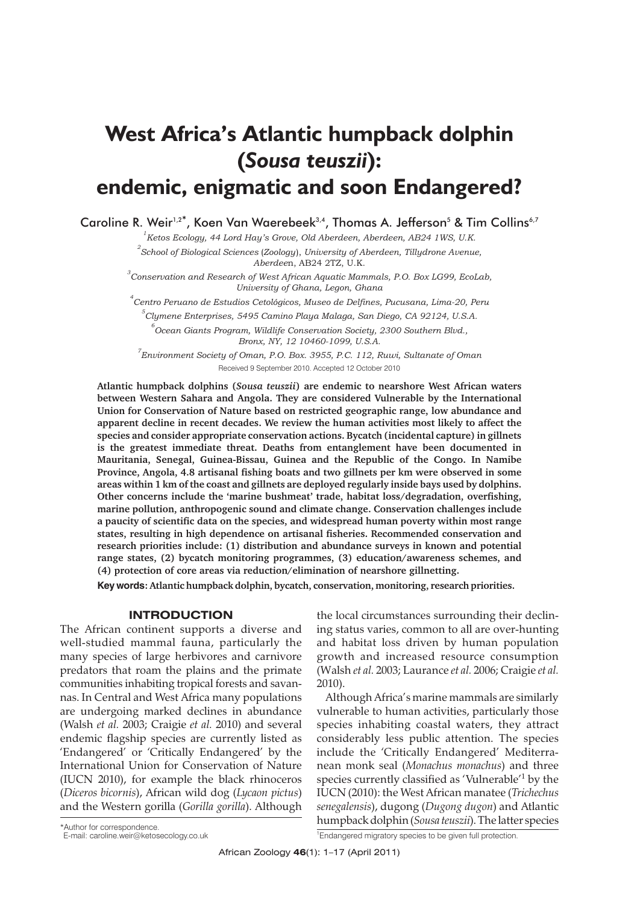# **West Africa's Atlantic humpback dolphin (***Sousa teuszii***): endemic, enigmatic and soon Endangered?**

Caroline R. Weir<sup>1,2\*</sup>, Koen Van Waerebeek<sup>3,4</sup>, Thomas A. Jefferson<sup>5</sup> & Tim Collins<sup>6,7</sup>

*1 Ketos Ecology, 44 Lord Hay's Grove, Old Aberdeen, Aberdeen, AB24 1WS, U.K. 2 School of Biological Sciences* (*Zoology*), *University of Aberdeen, Tillydrone Avenue, Aberdee*n, AB24 2TZ, U.K.

*3 Conservation and Research of West African Aquatic Mammals, P.O. Box LG99, EcoLab, University of Ghana, Legon, Ghana*

*4 Centro Peruano de Estudios Cetológicos, Museo de Delfines, Pucusana, Lima-20, Peru*

*5 Clymene Enterprises, 5495 Camino Playa Malaga, San Diego, CA 92124, U.S.A. 6 Ocean Giants Program, Wildlife Conservation Society, 2300 Southern Blvd.,*

*Bronx, NY, 12 10460-1099, U.S.A.*

*7 Environment Society of Oman, P.O. Box. 3955, P.C. 112, Ruwi, Sultanate of Oman* Received 9 September 2010. Accepted 12 October 2010

**Atlantic humpback dolphins (***Sousa teuszii***) are endemic to nearshore West African waters between Western Sahara and Angola. They are considered Vulnerable by the International Union for Conservation of Nature based on restricted geographic range, low abundance and apparent decline in recent decades. We review the human activities most likely to affect the species and consider appropriate conservation actions. Bycatch (incidental capture) in gillnets is the greatest immediate threat. Deaths from entanglement have been documented in Mauritania, Senegal, Guinea-Bissau, Guinea and the Republic of the Congo. In Namibe Province, Angola, 4.8 artisanal fishing boats and two gillnets per km were observed in some areas within 1 km of the coast and gillnets are deployed regularly inside bays used by dolphins. Other concerns include the 'marine bushmeat' trade, habitat loss/degradation, overfishing, marine pollution, anthropogenic sound and climate change. Conservation challenges include a paucity of scientific data on the species, and widespread human poverty within most range states, resulting in high dependence on artisanal fisheries. Recommended conservation and research priorities include: (1) distribution and abundance surveys in known and potential range states, (2) bycatch monitoring programmes, (3) education/awareness schemes, and (4) protection of core areas via reduction/elimination of nearshore gillnetting.**

**Key words: Atlantic humpback dolphin, bycatch, conservation, monitoring, research priorities.**

### **INTRODUCTION**

The African continent supports a diverse and well-studied mammal fauna, particularly the many species of large herbivores and carnivore predators that roam the plains and the primate communities inhabiting tropical forests and savannas. In Central and West Africa many populations are undergoing marked declines in abundance (Walsh *et al.* 2003; Craigie *et al.* 2010) and several endemic flagship species are currently listed as 'Endangered' or 'Critically Endangered' by the International Union for Conservation of Nature (IUCN 2010), for example the black rhinoceros (*Diceros bicornis*), African wild dog (*Lycaon pictus*) and the Western gorilla (*Gorilla gorilla*). Although

the local circumstances surrounding their declining status varies, common to all are over-hunting and habitat loss driven by human population growth and increased resource consumption (Walsh *et al.* 2003; Laurance *et al.* 2006; Craigie *et al.* 2010).

Although Africa's marine mammals are similarly vulnerable to human activities, particularly those species inhabiting coastal waters, they attract considerably less public attention. The species include the 'Critically Endangered' Mediterranean monk seal (*Monachus monachus*) and three species currently classified as 'Vulnerable'1 by the IUCN (2010): the West African manatee (*Trichechus senegalensis*), dugong (*Dugong dugon*) and Atlantic humpback dolphin (*Sousa teuszii*). The latter species

<sup>1</sup>Endangered migratory species to be given full protection.

<sup>\*</sup>Author for correspondence. E-mail: caroline.weir@ketosecology.co.uk <sup>1</sup>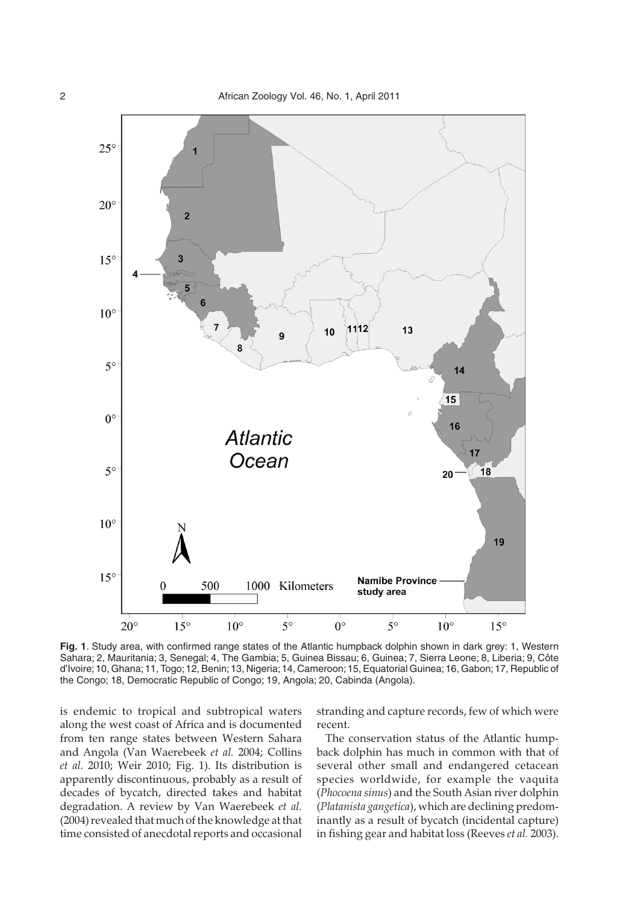

**Fig. 1**. Study area, with confirmed range states of the Atlantic humpback dolphin shown in dark grey: 1, Western Sahara; 2, Mauritania; 3, Senegal; 4, The Gambia; 5, Guinea Bissau; 6, Guinea; 7, Sierra Leone; 8, Liberia; 9, Côte d'Ivoire;10, Ghana;11, Togo;12, Benin;13, Nigeria;14, Cameroon;15, Equatorial Guinea;16, Gabon;17, Republic of the Congo; 18, Democratic Republic of Congo; 19, Angola; 20, Cabinda (Angola).

is endemic to tropical and subtropical waters along the west coast of Africa and is documented from ten range states between Western Sahara and Angola (Van Waerebeek *et al.* 2004; Collins *et al.* 2010; Weir 2010; Fig. 1). Its distribution is apparently discontinuous, probably as a result of decades of bycatch, directed takes and habitat degradation. A review by Van Waerebeek *et al.* (2004) revealed that much of the knowledge at that time consisted of anecdotal reports and occasional stranding and capture records, few of which were recent.

The conservation status of the Atlantic humpback dolphin has much in common with that of several other small and endangered cetacean species worldwide, for example the vaquita (*Phocoena sinus*) and the South Asian river dolphin (*Platanista gangetica*), which are declining predominantly as a result of bycatch (incidental capture) in fishing gear and habitat loss (Reeves *et al.* 2003).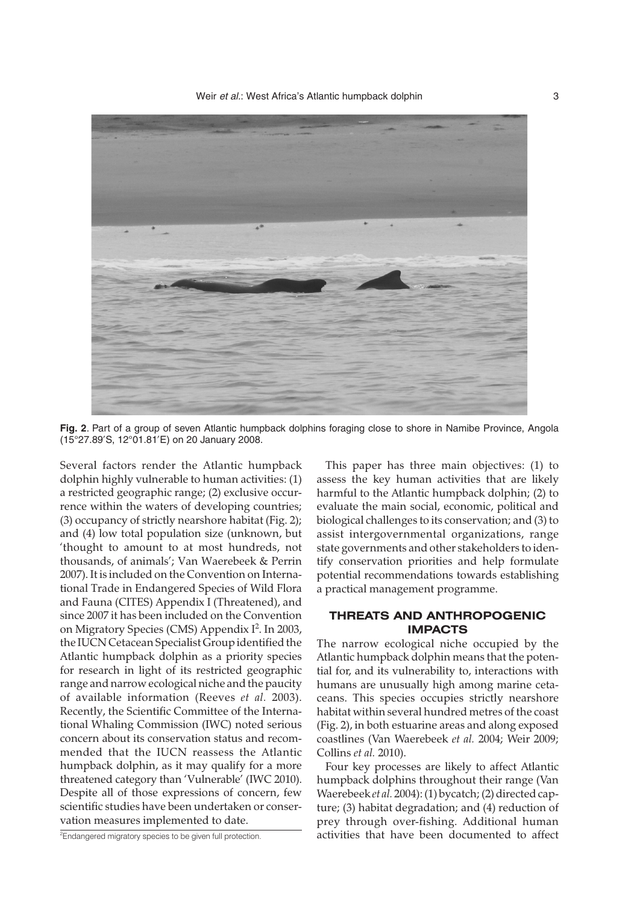

**Fig. 2**. Part of a group of seven Atlantic humpback dolphins foraging close to shore in Namibe Province, Angola (15°27.89'S, 12°01.81'E) on 20 January 2008.

Several factors render the Atlantic humpback dolphin highly vulnerable to human activities: (1) a restricted geographic range; (2) exclusive occurrence within the waters of developing countries; (3) occupancy of strictly nearshore habitat (Fig. 2); and (4) low total population size (unknown, but 'thought to amount to at most hundreds, not thousands, of animals'; Van Waerebeek & Perrin 2007). It is included on the Convention on International Trade in Endangered Species of Wild Flora and Fauna (CITES) Appendix I (Threatened), and since 2007 it has been included on the Convention on Migratory Species (CMS) Appendix I<sup>2</sup>. In 2003, the IUCN Cetacean Specialist Group identified the Atlantic humpback dolphin as a priority species for research in light of its restricted geographic range and narrow ecological niche and the paucity of available information (Reeves *et al.* 2003). Recently, the Scientific Committee of the International Whaling Commission (IWC) noted serious concern about its conservation status and recommended that the IUCN reassess the Atlantic humpback dolphin, as it may qualify for a more threatened category than 'Vulnerable' (IWC 2010). Despite all of those expressions of concern, few scientific studies have been undertaken or conservation measures implemented to date.

<sup>2</sup>Endangered migratory species to be given full protection.

This paper has three main objectives: (1) to assess the key human activities that are likely harmful to the Atlantic humpback dolphin; (2) to evaluate the main social, economic, political and biological challenges to its conservation; and (3) to assist intergovernmental organizations, range state governments and other stakeholders to identify conservation priorities and help formulate potential recommendations towards establishing a practical management programme.

# **THREATS AND ANTHROPOGENIC IMPACTS**

The narrow ecological niche occupied by the Atlantic humpback dolphin means that the potential for, and its vulnerability to, interactions with humans are unusually high among marine cetaceans. This species occupies strictly nearshore habitat within several hundred metres of the coast (Fig. 2), in both estuarine areas and along exposed coastlines (Van Waerebeek *et al.* 2004; Weir 2009; Collins *et al.* 2010).

Four key processes are likely to affect Atlantic humpback dolphins throughout their range (Van Waerebeek *et al.* 2004): (1) bycatch; (2) directed capture; (3) habitat degradation; and (4) reduction of prey through over-fishing. Additional human activities that have been documented to affect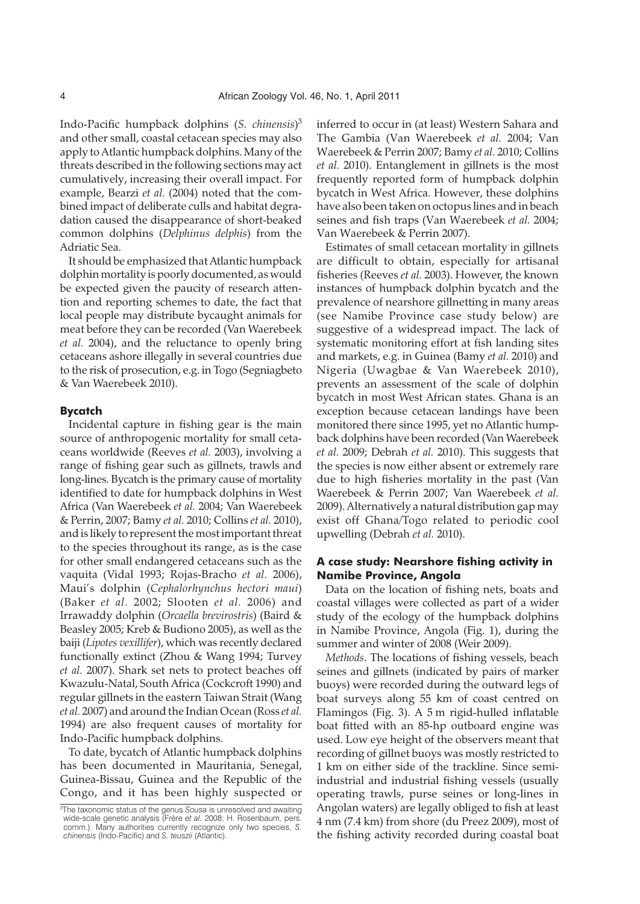Indo-Pacific humpback dolphins (*S. chinensis*) 3 and other small, coastal cetacean species may also apply to Atlantic humpback dolphins. Many of the threats described in the following sections may act cumulatively, increasing their overall impact. For example, Bearzi *et al.* (2004) noted that the combined impact of deliberate culls and habitat degradation caused the disappearance of short-beaked common dolphins (*Delphinus delphis*) from the Adriatic Sea.

It should be emphasized that Atlantic humpback dolphin mortality is poorly documented, as would be expected given the paucity of research attention and reporting schemes to date, the fact that local people may distribute bycaught animals for meat before they can be recorded (Van Waerebeek *et al.* 2004), and the reluctance to openly bring cetaceans ashore illegally in several countries due to the risk of prosecution, e.g. in Togo (Segniagbeto & Van Waerebeek 2010).

#### **Bycatch**

Incidental capture in fishing gear is the main source of anthropogenic mortality for small cetaceans worldwide (Reeves *et al.* 2003), involving a range of fishing gear such as gillnets, trawls and long-lines. Bycatch is the primary cause of mortality identified to date for humpback dolphins in West Africa (Van Waerebeek *et al.* 2004; Van Waerebeek & Perrin, 2007; Bamy *et al.* 2010; Collins *et al.* 2010), and is likely to represent the most important threat to the species throughout its range, as is the case for other small endangered cetaceans such as the vaquita (Vidal 1993; Rojas-Bracho *et al.* 2006), Maui's dolphin (*Cephalorhynchus hectori maui*) (Baker *et al.* 2002; Slooten *et al.* 2006) and Irrawaddy dolphin (*Orcaella brevirostris*) (Baird & Beasley 2005; Kreb & Budiono 2005), as well as the baiji (*Lipotes vexillifer*), which was recently declared functionally extinct (Zhou & Wang 1994; Turvey *et al.* 2007). Shark set nets to protect beaches off Kwazulu-Natal, South Africa (Cockcroft 1990) and regular gillnets in the eastern Taiwan Strait (Wang *et al.* 2007) and around the Indian Ocean (Ross *et al.* 1994) are also frequent causes of mortality for Indo-Pacific humpback dolphins.

To date, bycatch of Atlantic humpback dolphins has been documented in Mauritania, Senegal, Guinea-Bissau, Guinea and the Republic of the Congo, and it has been highly suspected or

inferred to occur in (at least) Western Sahara and The Gambia (Van Waerebeek *et al.* 2004; Van Waerebeek & Perrin 2007; Bamy *et al.* 2010; Collins *et al.* 2010). Entanglement in gillnets is the most frequently reported form of humpback dolphin bycatch in West Africa. However, these dolphins have also been taken on octopus lines and in beach seines and fish traps (Van Waerebeek *et al.* 2004; Van Waerebeek & Perrin 2007).

Estimates of small cetacean mortality in gillnets are difficult to obtain, especially for artisanal fisheries (Reeves *et al.* 2003). However, the known instances of humpback dolphin bycatch and the prevalence of nearshore gillnetting in many areas (see Namibe Province case study below) are suggestive of a widespread impact. The lack of systematic monitoring effort at fish landing sites and markets, e.g. in Guinea (Bamy *et al.* 2010) and Nigeria (Uwagbae & Van Waerebeek 2010), prevents an assessment of the scale of dolphin bycatch in most West African states. Ghana is an exception because cetacean landings have been monitored there since 1995, yet no Atlantic humpback dolphins have been recorded (Van Waerebeek *et al.* 2009; Debrah *et al.* 2010). This suggests that the species is now either absent or extremely rare due to high fisheries mortality in the past (Van Waerebeek & Perrin 2007; Van Waerebeek *et al.* 2009). Alternatively a natural distribution gap may exist off Ghana/Togo related to periodic cool upwelling (Debrah *et al.* 2010).

# **A case study: Nearshore fishing activity in Namibe Province, Angola**

Data on the location of fishing nets, boats and coastal villages were collected as part of a wider study of the ecology of the humpback dolphins in Namibe Province, Angola (Fig. 1), during the summer and winter of 2008 (Weir 2009).

*Methods*. The locations of fishing vessels, beach seines and gillnets (indicated by pairs of marker buoys) were recorded during the outward legs of boat surveys along 55 km of coast centred on Flamingos (Fig. 3). A 5 m rigid-hulled inflatable boat fitted with an 85-hp outboard engine was used. Low eye height of the observers meant that recording of gillnet buoys was mostly restricted to 1 km on either side of the trackline. Since semiindustrial and industrial fishing vessels (usually operating trawls, purse seines or long-lines in Angolan waters) are legally obliged to fish at least 4 nm (7.4 km) from shore (du Preez 2009), most of the fishing activity recorded during coastal boat

<sup>3</sup> The taxonomic status of the genus *Sousa* is unresolved and awaiting wide-scale genetic analysis (Frère *et al.* 2008; H. Rosenbaum, pers. comm.). Many authorities currently recognize only two species, *S. chinensis* (Indo-Pacific) and *S. teuszii* (Atlantic).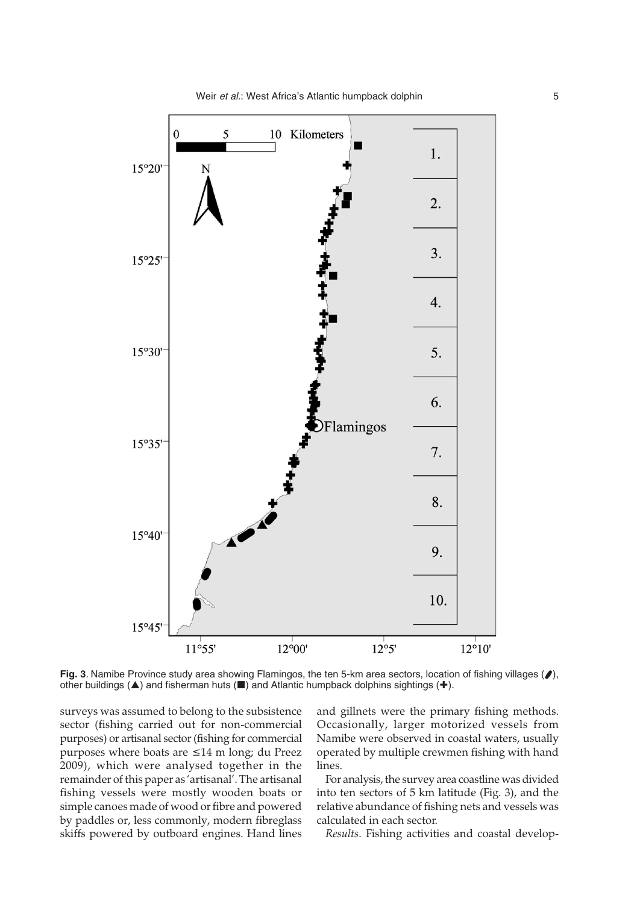

**Fig. 3**. Namibe Province study area showing Flamingos, the ten 5-km area sectors, location of fishing villages ( $\bullet$ ), other buildings ( $\blacktriangle$ ) and fisherman huts ( $\blacksquare$ ) and Atlantic humpback dolphins sightings (+).

surveys was assumed to belong to the subsistence sector (fishing carried out for non-commercial purposes) or artisanal sector (fishing for commercial purposes where boats are ≤14 m long; du Preez 2009), which were analysed together in the remainder of this paper as 'artisanal'. The artisanal fishing vessels were mostly wooden boats or simple canoes made of wood or fibre and powered by paddles or, less commonly, modern fibreglass skiffs powered by outboard engines. Hand lines and gillnets were the primary fishing methods. Occasionally, larger motorized vessels from Namibe were observed in coastal waters, usually operated by multiple crewmen fishing with hand lines.

For analysis, the survey area coastline was divided into ten sectors of 5 km latitude (Fig. 3), and the relative abundance of fishing nets and vessels was calculated in each sector.

*Results*. Fishing activities and coastal develop-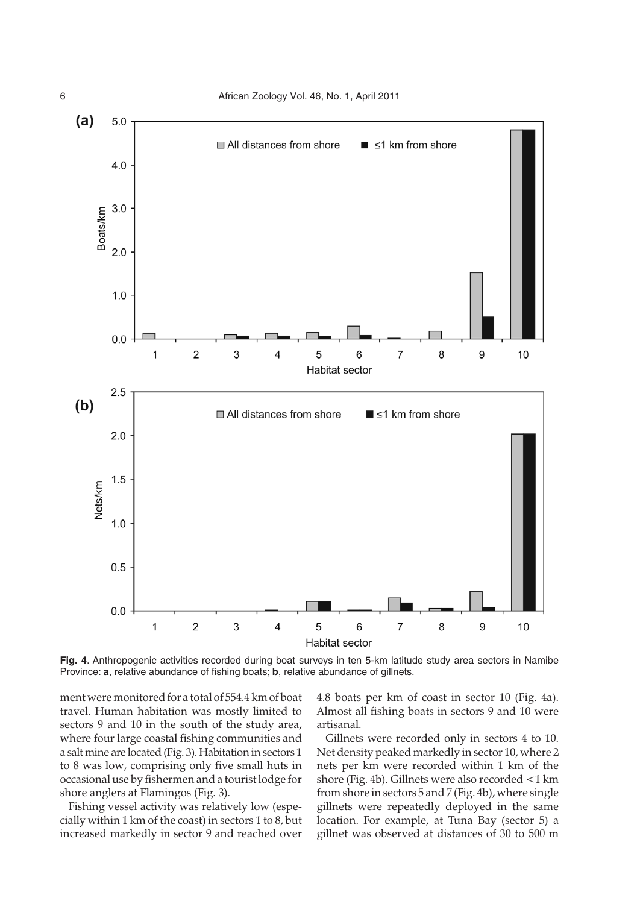

**Fig. 4**. Anthropogenic activities recorded during boat surveys in ten 5-km latitude study area sectors in Namibe Province: **a**, relative abundance of fishing boats; **b**, relative abundance of gillnets.

ment were monitored for a total of 554.4 km of boat travel. Human habitation was mostly limited to sectors 9 and 10 in the south of the study area, where four large coastal fishing communities and a salt mine are located (Fig. 3). Habitation in sectors 1 to 8 was low, comprising only five small huts in occasional use by fishermen and a tourist lodge for shore anglers at Flamingos (Fig. 3).

Fishing vessel activity was relatively low (especially within 1 km of the coast) in sectors 1 to 8, but increased markedly in sector 9 and reached over 4.8 boats per km of coast in sector 10 (Fig. 4a). Almost all fishing boats in sectors 9 and 10 were artisanal.

Gillnets were recorded only in sectors 4 to 10. Net density peaked markedly in sector 10, where 2 nets per km were recorded within 1 km of the shore (Fig. 4b). Gillnets were also recorded <1 km from shore in sectors 5 and 7 (Fig. 4b), where single gillnets were repeatedly deployed in the same location. For example, at Tuna Bay (sector 5) a gillnet was observed at distances of 30 to 500 m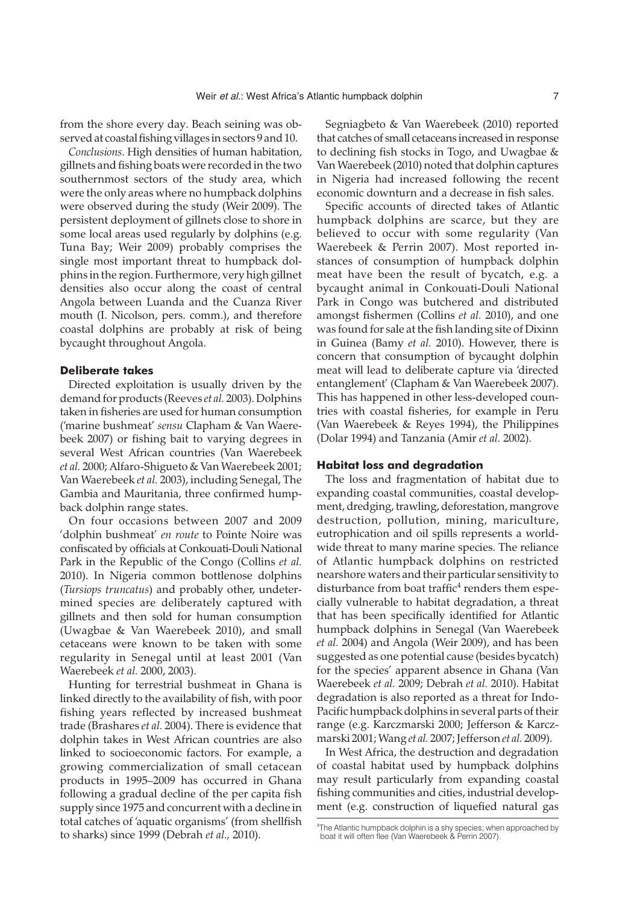from the shore every day. Beach seining was observed at coastal fishing villages in sectors 9 and 10.

*Conclusions*. High densities of human habitation, gillnets and fishing boats were recorded in the two southernmost sectors of the study area, which were the only areas where no humpback dolphins were observed during the study (Weir 2009). The persistent deployment of gillnets close to shore in some local areas used regularly by dolphins (e.g. Tuna Bay; Weir 2009) probably comprises the single most important threat to humpback dolphins in the region. Furthermore, very high gillnet densities also occur along the coast of central Angola between Luanda and the Cuanza River mouth (I. Nicolson, pers. comm.), and therefore coastal dolphins are probably at risk of being bycaught throughout Angola.

#### **Deliberate takes**

Directed exploitation is usually driven by the demand for products (Reeves *et al.* 2003). Dolphins taken in fisheries are used for human consumption ('marine bushmeat' *sensu* Clapham & Van Waerebeek 2007) or fishing bait to varying degrees in several West African countries (Van Waerebeek *et al.* 2000; Alfaro-Shigueto & Van Waerebeek 2001; Van Waerebeek *et al.* 2003), including Senegal, The Gambia and Mauritania, three confirmed humpback dolphin range states.

On four occasions between 2007 and 2009 'dolphin bushmeat' *en route* to Pointe Noire was confiscated by officials at Conkouati-Douli National Park in the Republic of the Congo (Collins *et al.* 2010). In Nigeria common bottlenose dolphins (*Tursiops truncatus*) and probably other, undetermined species are deliberately captured with gillnets and then sold for human consumption (Uwagbae & Van Waerebeek 2010), and small cetaceans were known to be taken with some regularity in Senegal until at least 2001 (Van Waerebeek *et al.* 2000, 2003).

Hunting for terrestrial bushmeat in Ghana is linked directly to the availability of fish, with poor fishing years reflected by increased bushmeat trade (Brashares *et al.* 2004). There is evidence that dolphin takes in West African countries are also linked to socioeconomic factors. For example, a growing commercialization of small cetacean products in 1995–2009 has occurred in Ghana following a gradual decline of the per capita fish supply since 1975 and concurrent with a decline in total catches of 'aquatic organisms' (from shellfish to sharks) since 1999 (Debrah *et al.,* 2010).

Segniagbeto & Van Waerebeek (2010) reported that catches of small cetaceans increased in response to declining fish stocks in Togo, and Uwagbae & Van Waerebeek (2010) noted that dolphin captures in Nigeria had increased following the recent economic downturn and a decrease in fish sales.

Specific accounts of directed takes of Atlantic humpback dolphins are scarce, but they are believed to occur with some regularity (Van Waerebeek & Perrin 2007). Most reported instances of consumption of humpback dolphin meat have been the result of bycatch, e.g. a bycaught animal in Conkouati-Douli National Park in Congo was butchered and distributed amongst fishermen (Collins *et al.* 2010), and one was found for sale at the fish landing site of Dixinn in Guinea (Bamy *et al.* 2010). However, there is concern that consumption of bycaught dolphin meat will lead to deliberate capture via 'directed entanglement' (Clapham & Van Waerebeek 2007). This has happened in other less-developed countries with coastal fisheries, for example in Peru (Van Waerebeek & Reyes 1994), the Philippines (Dolar 1994) and Tanzania (Amir *et al.* 2002).

#### **Habitat loss and degradation**

The loss and fragmentation of habitat due to expanding coastal communities, coastal development, dredging, trawling, deforestation, mangrove destruction, pollution, mining, mariculture, eutrophication and oil spills represents a worldwide threat to many marine species. The reliance of Atlantic humpback dolphins on restricted nearshore waters and their particular sensitivity to disturbance from boat traffic $4$  renders them especially vulnerable to habitat degradation, a threat that has been specifically identified for Atlantic humpback dolphins in Senegal (Van Waerebeek *et al.* 2004) and Angola (Weir 2009), and has been suggested as one potential cause (besides bycatch) for the species' apparent absence in Ghana (Van Waerebeek *et al.* 2009; Debrah *et al.* 2010). Habitat degradation is also reported as a threat for Indo-Pacific humpback dolphins in several parts of their range (e.g. Karczmarski 2000; Jefferson & Karczmarski 2001; Wang *et al.* 2007; Jefferson*et al.* 2009).

In West Africa, the destruction and degradation of coastal habitat used by humpback dolphins may result particularly from expanding coastal fishing communities and cities, industrial development (e.g. construction of liquefied natural gas

<sup>4</sup> The Atlantic humpback dolphin is a shy species; when approached by boat it will often flee (Van Waerebeek & Perrin 2007).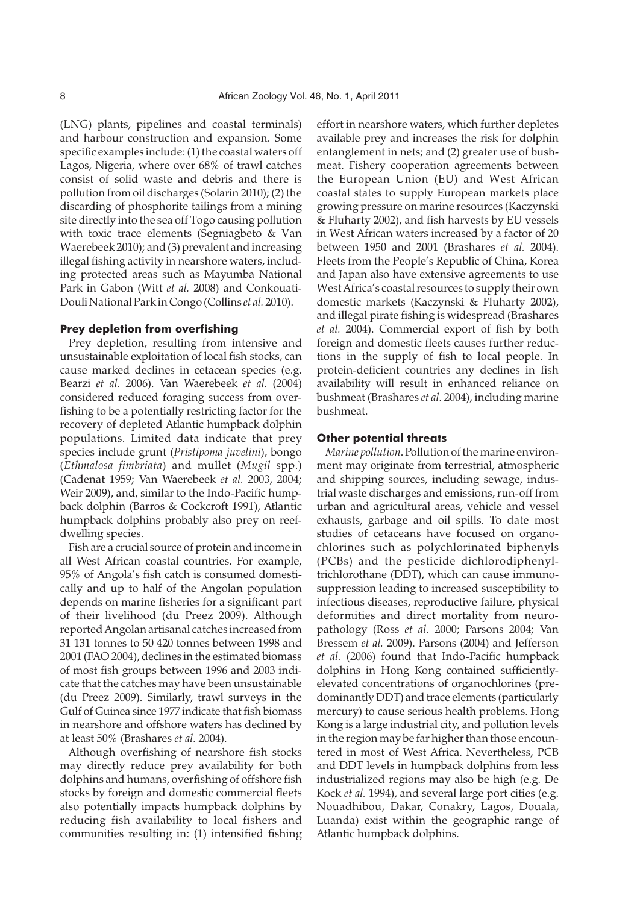(LNG) plants, pipelines and coastal terminals) and harbour construction and expansion. Some specific examples include: (1) the coastal waters off Lagos, Nigeria, where over 68% of trawl catches consist of solid waste and debris and there is pollution from oil discharges (Solarin 2010); (2) the discarding of phosphorite tailings from a mining site directly into the sea off Togo causing pollution with toxic trace elements (Segniagbeto & Van Waerebeek 2010); and (3) prevalent and increasing illegal fishing activity in nearshore waters, including protected areas such as Mayumba National Park in Gabon (Witt *et al.* 2008) and Conkouati-Douli National Park in Congo (Collins *et al.* 2010).

#### **Prey depletion from overfishing**

Prey depletion, resulting from intensive and unsustainable exploitation of local fish stocks, can cause marked declines in cetacean species (e.g. Bearzi *et al.* 2006). Van Waerebeek *et al.* (2004) considered reduced foraging success from overfishing to be a potentially restricting factor for the recovery of depleted Atlantic humpback dolphin populations. Limited data indicate that prey species include grunt (*Pristipoma juvelini*), bongo (*Ethmalosa fimbriata*) and mullet (*Mugil* spp.) (Cadenat 1959; Van Waerebeek *et al.* 2003, 2004; Weir 2009), and, similar to the Indo-Pacific humpback dolphin (Barros & Cockcroft 1991), Atlantic humpback dolphins probably also prey on reefdwelling species.

Fish are a crucial source of protein and income in all West African coastal countries. For example, 95% of Angola's fish catch is consumed domestically and up to half of the Angolan population depends on marine fisheries for a significant part of their livelihood (du Preez 2009). Although reported Angolan artisanal catches increased from 31 131 tonnes to 50 420 tonnes between 1998 and 2001 (FAO 2004), declines in the estimated biomass of most fish groups between 1996 and 2003 indicate that the catches may have been unsustainable (du Preez 2009). Similarly, trawl surveys in the Gulf of Guinea since 1977 indicate that fish biomass in nearshore and offshore waters has declined by at least 50% (Brashares *et al.* 2004).

Although overfishing of nearshore fish stocks may directly reduce prey availability for both dolphins and humans, overfishing of offshore fish stocks by foreign and domestic commercial fleets also potentially impacts humpback dolphins by reducing fish availability to local fishers and communities resulting in: (1) intensified fishing effort in nearshore waters, which further depletes available prey and increases the risk for dolphin entanglement in nets; and (2) greater use of bushmeat. Fishery cooperation agreements between the European Union (EU) and West African coastal states to supply European markets place growing pressure on marine resources (Kaczynski & Fluharty 2002), and fish harvests by EU vessels in West African waters increased by a factor of 20 between 1950 and 2001 (Brashares *et al.* 2004). Fleets from the People's Republic of China, Korea and Japan also have extensive agreements to use West Africa's coastal resources to supply their own domestic markets (Kaczynski & Fluharty 2002), and illegal pirate fishing is widespread (Brashares *et al.* 2004). Commercial export of fish by both foreign and domestic fleets causes further reductions in the supply of fish to local people. In protein-deficient countries any declines in fish availability will result in enhanced reliance on bushmeat (Brashares *et al.* 2004), including marine bushmeat.

#### **Other potential threats**

*Marine pollution*. Pollution of the marine environment may originate from terrestrial, atmospheric and shipping sources, including sewage, industrial waste discharges and emissions, run-off from urban and agricultural areas, vehicle and vessel exhausts, garbage and oil spills. To date most studies of cetaceans have focused on organochlorines such as polychlorinated biphenyls (PCBs) and the pesticide dichlorodiphenyltrichlorothane (DDT), which can cause immunosuppression leading to increased susceptibility to infectious diseases, reproductive failure, physical deformities and direct mortality from neuropathology (Ross *et al.* 2000; Parsons 2004; Van Bressem *et al.* 2009). Parsons (2004) and Jefferson *et al.* (2006) found that Indo-Pacific humpback dolphins in Hong Kong contained sufficientlyelevated concentrations of organochlorines (predominantly DDT) and trace elements (particularly mercury) to cause serious health problems. Hong Kong is a large industrial city, and pollution levels in the region may be far higher than those encountered in most of West Africa. Nevertheless, PCB and DDT levels in humpback dolphins from less industrialized regions may also be high (e.g. De Kock *et al.* 1994), and several large port cities (e.g. Nouadhibou, Dakar, Conakry, Lagos, Douala, Luanda) exist within the geographic range of Atlantic humpback dolphins.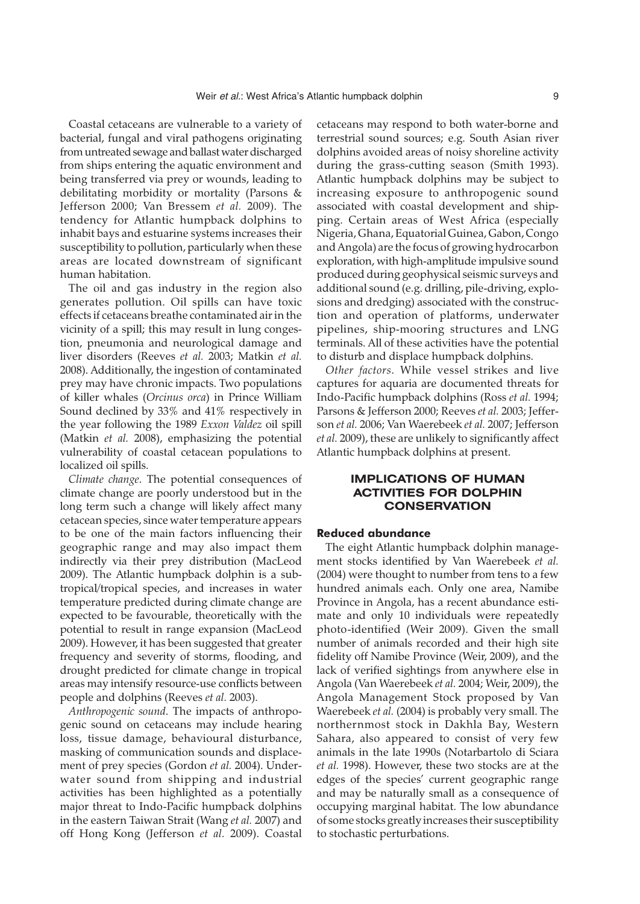Coastal cetaceans are vulnerable to a variety of bacterial, fungal and viral pathogens originating from untreated sewage and ballast water discharged from ships entering the aquatic environment and being transferred via prey or wounds, leading to debilitating morbidity or mortality (Parsons & Jefferson 2000; Van Bressem *et al.* 2009). The tendency for Atlantic humpback dolphins to inhabit bays and estuarine systems increases their susceptibility to pollution, particularly when these areas are located downstream of significant human habitation.

The oil and gas industry in the region also generates pollution. Oil spills can have toxic effects if cetaceans breathe contaminated air in the vicinity of a spill; this may result in lung congestion, pneumonia and neurological damage and liver disorders (Reeves *et al.* 2003; Matkin *et al.* 2008). Additionally, the ingestion of contaminated prey may have chronic impacts. Two populations of killer whales (*Orcinus orca*) in Prince William Sound declined by 33% and 41% respectively in the year following the 1989 *Exxon Valdez* oil spill (Matkin *et al.* 2008), emphasizing the potential vulnerability of coastal cetacean populations to localized oil spills.

*Climate change*. The potential consequences of climate change are poorly understood but in the long term such a change will likely affect many cetacean species, since water temperature appears to be one of the main factors influencing their geographic range and may also impact them indirectly via their prey distribution (MacLeod 2009). The Atlantic humpback dolphin is a subtropical/tropical species, and increases in water temperature predicted during climate change are expected to be favourable, theoretically with the potential to result in range expansion (MacLeod 2009). However, it has been suggested that greater frequency and severity of storms, flooding, and drought predicted for climate change in tropical areas may intensify resource-use conflicts between people and dolphins (Reeves *et al.* 2003).

*Anthropogenic sound*. The impacts of anthropogenic sound on cetaceans may include hearing loss, tissue damage, behavioural disturbance, masking of communication sounds and displacement of prey species (Gordon *et al.* 2004). Underwater sound from shipping and industrial activities has been highlighted as a potentially major threat to Indo-Pacific humpback dolphins in the eastern Taiwan Strait (Wang *et al.* 2007) and off Hong Kong (Jefferson *et al.* 2009). Coastal cetaceans may respond to both water-borne and terrestrial sound sources; e.g. South Asian river dolphins avoided areas of noisy shoreline activity during the grass-cutting season (Smith 1993). Atlantic humpback dolphins may be subject to increasing exposure to anthropogenic sound associated with coastal development and shipping. Certain areas of West Africa (especially Nigeria, Ghana, Equatorial Guinea, Gabon, Congo and Angola) are the focus of growing hydrocarbon exploration, with high-amplitude impulsive sound produced during geophysical seismic surveys and additional sound (e.g. drilling, pile-driving, explosions and dredging) associated with the construction and operation of platforms, underwater pipelines, ship-mooring structures and LNG terminals. All of these activities have the potential to disturb and displace humpback dolphins.

*Other factors*. While vessel strikes and live captures for aquaria are documented threats for Indo-Pacific humpback dolphins (Ross *et al.* 1994; Parsons & Jefferson 2000; Reeves *et al.* 2003; Jefferson *et al.* 2006; Van Waerebeek *et al.* 2007; Jefferson *et al.* 2009), these are unlikely to significantly affect Atlantic humpback dolphins at present.

# **IMPLICATIONS OF HUMAN ACTIVITIES FOR DOLPHIN CONSERVATION**

#### **Reduced abundance**

The eight Atlantic humpback dolphin management stocks identified by Van Waerebeek *et al.* (2004) were thought to number from tens to a few hundred animals each. Only one area, Namibe Province in Angola, has a recent abundance estimate and only 10 individuals were repeatedly photo-identified (Weir 2009). Given the small number of animals recorded and their high site fidelity off Namibe Province (Weir, 2009), and the lack of verified sightings from anywhere else in Angola (Van Waerebeek *et al.* 2004; Weir, 2009), the Angola Management Stock proposed by Van Waerebeek *et al.* (2004) is probably very small. The northernmost stock in Dakhla Bay, Western Sahara, also appeared to consist of very few animals in the late 1990s (Notarbartolo di Sciara *et al.* 1998). However, these two stocks are at the edges of the species' current geographic range and may be naturally small as a consequence of occupying marginal habitat. The low abundance of some stocks greatly increases their susceptibility to stochastic perturbations.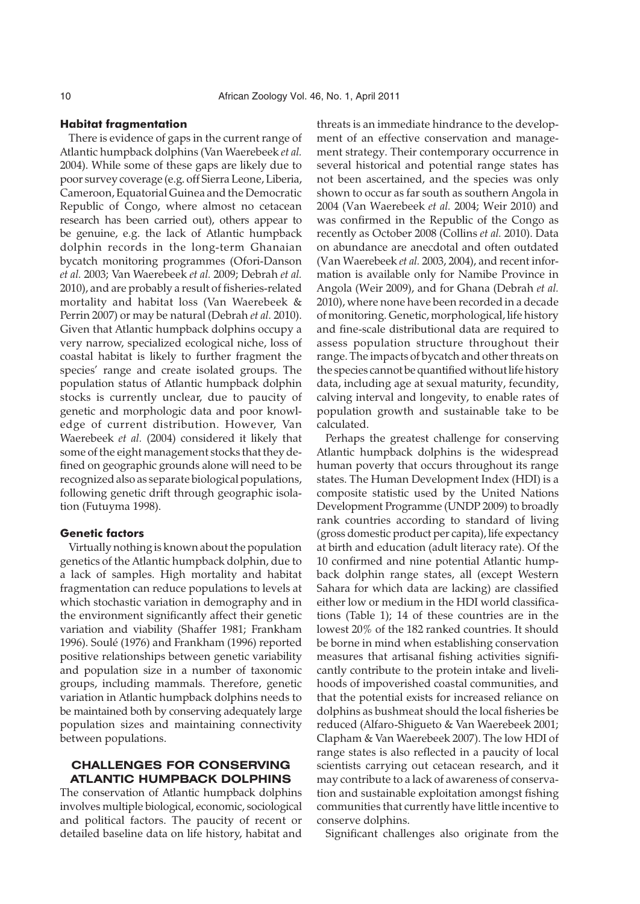#### **Habitat fragmentation**

There is evidence of gaps in the current range of Atlantic humpback dolphins (Van Waerebeek *et al.* 2004). While some of these gaps are likely due to poor survey coverage (e.g. off Sierra Leone, Liberia, Cameroon, Equatorial Guinea and the Democratic Republic of Congo, where almost no cetacean research has been carried out), others appear to be genuine, e.g. the lack of Atlantic humpback dolphin records in the long-term Ghanaian bycatch monitoring programmes (Ofori-Danson *et al.* 2003; Van Waerebeek *et al.* 2009; Debrah *et al.* 2010), and are probably a result of fisheries-related mortality and habitat loss (Van Waerebeek & Perrin 2007) or may be natural (Debrah *et al.* 2010). Given that Atlantic humpback dolphins occupy a very narrow, specialized ecological niche, loss of coastal habitat is likely to further fragment the species' range and create isolated groups. The population status of Atlantic humpback dolphin stocks is currently unclear, due to paucity of genetic and morphologic data and poor knowledge of current distribution. However, Van Waerebeek *et al.* (2004) considered it likely that some of the eight management stocks that they defined on geographic grounds alone will need to be recognized also as separate biological populations, following genetic drift through geographic isolation (Futuyma 1998).

#### **Genetic factors**

Virtually nothing is known about the population genetics of the Atlantic humpback dolphin, due to a lack of samples. High mortality and habitat fragmentation can reduce populations to levels at which stochastic variation in demography and in the environment significantly affect their genetic variation and viability (Shaffer 1981; Frankham 1996). Soulé (1976) and Frankham (1996) reported positive relationships between genetic variability and population size in a number of taxonomic groups, including mammals. Therefore, genetic variation in Atlantic humpback dolphins needs to be maintained both by conserving adequately large population sizes and maintaining connectivity between populations.

# **CHALLENGES FOR CONSERVING ATLANTIC HUMPBACK DOLPHINS**

The conservation of Atlantic humpback dolphins involves multiple biological, economic, sociological and political factors. The paucity of recent or detailed baseline data on life history, habitat and

threats is an immediate hindrance to the development of an effective conservation and management strategy. Their contemporary occurrence in several historical and potential range states has not been ascertained, and the species was only shown to occur as far south as southern Angola in 2004 (Van Waerebeek *et al.* 2004; Weir 2010) and was confirmed in the Republic of the Congo as recently as October 2008 (Collins *et al.* 2010). Data on abundance are anecdotal and often outdated (Van Waerebeek *et al.* 2003, 2004), and recent information is available only for Namibe Province in Angola (Weir 2009), and for Ghana (Debrah *et al.* 2010), where none have been recorded in a decade of monitoring. Genetic, morphological, life history and fine-scale distributional data are required to assess population structure throughout their range. The impacts of bycatch and other threats on the species cannot be quantified without life history data, including age at sexual maturity, fecundity, calving interval and longevity, to enable rates of population growth and sustainable take to be calculated.

Perhaps the greatest challenge for conserving Atlantic humpback dolphins is the widespread human poverty that occurs throughout its range states. The Human Development Index (HDI) is a composite statistic used by the United Nations Development Programme (UNDP 2009) to broadly rank countries according to standard of living (gross domestic product per capita), life expectancy at birth and education (adult literacy rate). Of the 10 confirmed and nine potential Atlantic humpback dolphin range states, all (except Western Sahara for which data are lacking) are classified either low or medium in the HDI world classifications (Table 1); 14 of these countries are in the lowest 20% of the 182 ranked countries. It should be borne in mind when establishing conservation measures that artisanal fishing activities significantly contribute to the protein intake and livelihoods of impoverished coastal communities, and that the potential exists for increased reliance on dolphins as bushmeat should the local fisheries be reduced (Alfaro-Shigueto & Van Waerebeek 2001; Clapham & Van Waerebeek 2007). The low HDI of range states is also reflected in a paucity of local scientists carrying out cetacean research, and it may contribute to a lack of awareness of conservation and sustainable exploitation amongst fishing communities that currently have little incentive to conserve dolphins.

Significant challenges also originate from the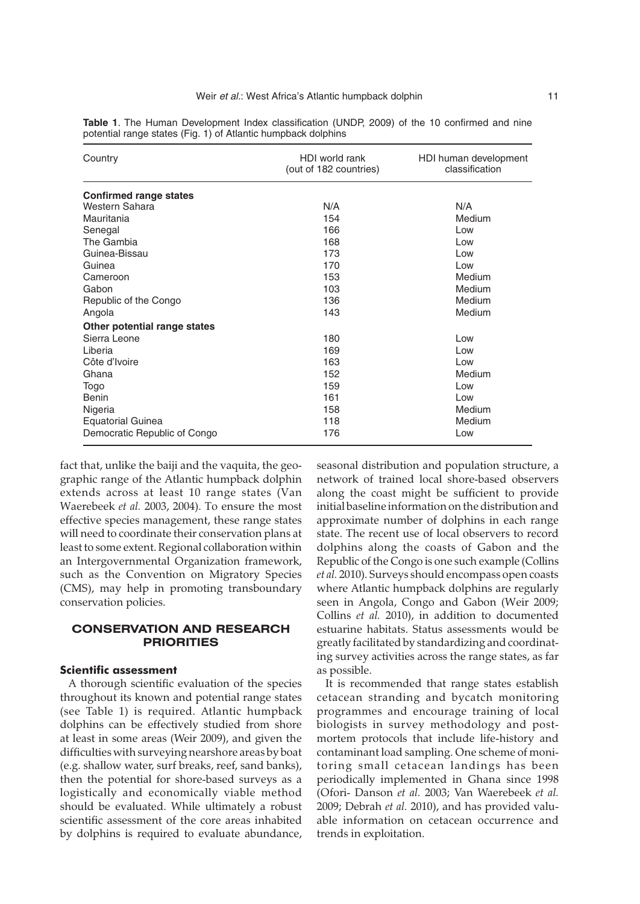| Country                       | HDI world rank<br>(out of 182 countries) | HDI human development<br>classification |
|-------------------------------|------------------------------------------|-----------------------------------------|
| <b>Confirmed range states</b> |                                          |                                         |
| Western Sahara                | N/A                                      | N/A                                     |
| Mauritania                    | 154                                      | Medium                                  |
| Senegal                       | 166                                      | Low                                     |
| The Gambia                    | 168                                      | Low                                     |
| Guinea-Bissau                 | 173                                      | Low                                     |
| Guinea                        | 170                                      | Low                                     |
| Cameroon                      | 153                                      | Medium                                  |
| Gabon                         | 103                                      | Medium                                  |
| Republic of the Congo         | 136                                      | Medium                                  |
| Angola                        | 143                                      | Medium                                  |
| Other potential range states  |                                          |                                         |
| Sierra Leone                  | 180                                      | Low                                     |
| Liberia                       | 169                                      | Low                                     |
| Côte d'Ivoire                 | 163                                      | Low                                     |
| Ghana                         | 152                                      | Medium                                  |
| Togo                          | 159                                      | Low                                     |
| <b>Benin</b>                  | 161                                      | Low                                     |
| Nigeria                       | 158                                      | Medium                                  |
| <b>Equatorial Guinea</b>      | 118                                      | Medium                                  |
| Democratic Republic of Congo  | 176                                      | Low                                     |

**Table 1**. The Human Development Index classification (UNDP, 2009) of the 10 confirmed and nine potential range states (Fig. 1) of Atlantic humpback dolphins

fact that, unlike the baiji and the vaquita, the geographic range of the Atlantic humpback dolphin extends across at least 10 range states (Van Waerebeek *et al.* 2003, 2004). To ensure the most effective species management, these range states will need to coordinate their conservation plans at least to some extent. Regional collaboration within an Intergovernmental Organization framework, such as the Convention on Migratory Species (CMS), may help in promoting transboundary conservation policies.

## **CONSERVATION AND RESEARCH PRIORITIES**

#### **Scientific assessment**

A thorough scientific evaluation of the species throughout its known and potential range states (see Table 1) is required. Atlantic humpback dolphins can be effectively studied from shore at least in some areas (Weir 2009), and given the difficulties with surveying nearshore areas by boat (e.g. shallow water, surf breaks, reef, sand banks), then the potential for shore-based surveys as a logistically and economically viable method should be evaluated. While ultimately a robust scientific assessment of the core areas inhabited by dolphins is required to evaluate abundance,

seasonal distribution and population structure, a network of trained local shore-based observers along the coast might be sufficient to provide initial baseline information on the distribution and approximate number of dolphins in each range state. The recent use of local observers to record dolphins along the coasts of Gabon and the Republic of the Congo is one such example (Collins *et al.* 2010). Surveys should encompass open coasts where Atlantic humpback dolphins are regularly seen in Angola, Congo and Gabon (Weir 2009; Collins *et al.* 2010), in addition to documented estuarine habitats. Status assessments would be greatly facilitated by standardizing and coordinating survey activities across the range states, as far as possible.

It is recommended that range states establish cetacean stranding and bycatch monitoring programmes and encourage training of local biologists in survey methodology and postmortem protocols that include life-history and contaminant load sampling. One scheme of monitoring small cetacean landings has been periodically implemented in Ghana since 1998 (Ofori- Danson *et al.* 2003; Van Waerebeek *et al.* 2009; Debrah *et al.* 2010), and has provided valuable information on cetacean occurrence and trends in exploitation.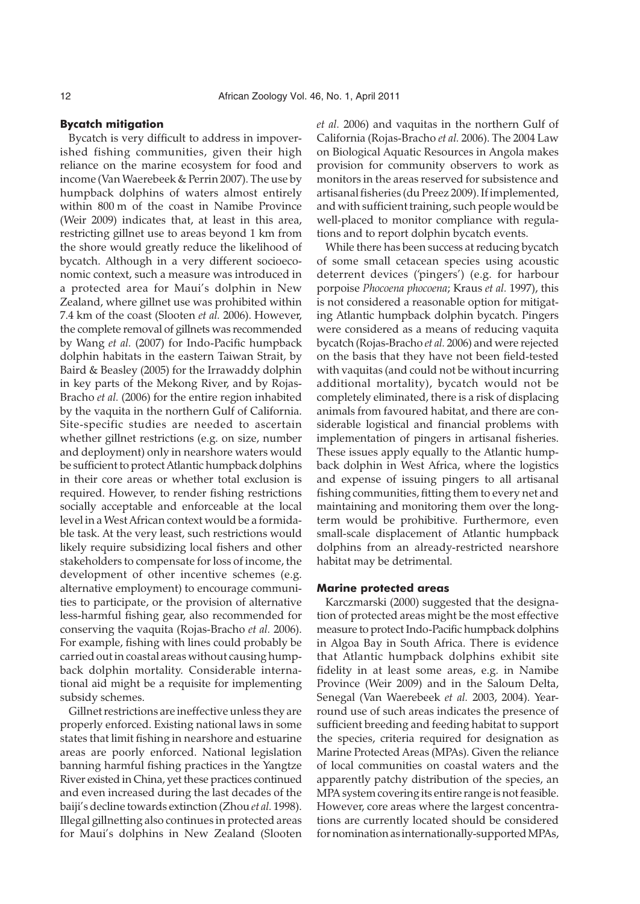#### **Bycatch mitigation**

Bycatch is very difficult to address in impoverished fishing communities, given their high reliance on the marine ecosystem for food and income (Van Waerebeek & Perrin 2007). The use by humpback dolphins of waters almost entirely within 800 m of the coast in Namibe Province (Weir 2009) indicates that, at least in this area, restricting gillnet use to areas beyond 1 km from the shore would greatly reduce the likelihood of bycatch. Although in a very different socioeconomic context, such a measure was introduced in a protected area for Maui's dolphin in New Zealand, where gillnet use was prohibited within 7.4 km of the coast (Slooten *et al.* 2006). However, the complete removal of gillnets was recommended by Wang *et al.* (2007) for Indo-Pacific humpback dolphin habitats in the eastern Taiwan Strait, by Baird & Beasley (2005) for the Irrawaddy dolphin in key parts of the Mekong River, and by Rojas-Bracho *et al.* (2006) for the entire region inhabited by the vaquita in the northern Gulf of California. Site-specific studies are needed to ascertain whether gillnet restrictions (e.g. on size, number and deployment) only in nearshore waters would be sufficient to protect Atlantic humpback dolphins in their core areas or whether total exclusion is required. However, to render fishing restrictions socially acceptable and enforceable at the local level in a West African context would be a formidable task. At the very least, such restrictions would likely require subsidizing local fishers and other stakeholders to compensate for loss of income, the development of other incentive schemes (e.g. alternative employment) to encourage communities to participate, or the provision of alternative less-harmful fishing gear, also recommended for conserving the vaquita (Rojas-Bracho *et al.* 2006). For example, fishing with lines could probably be carried out in coastal areas without causing humpback dolphin mortality. Considerable international aid might be a requisite for implementing subsidy schemes.

Gillnet restrictions are ineffective unless they are properly enforced. Existing national laws in some states that limit fishing in nearshore and estuarine areas are poorly enforced. National legislation banning harmful fishing practices in the Yangtze River existed in China, yet these practices continued and even increased during the last decades of the baiji's decline towards extinction (Zhou *et al.* 1998). Illegal gillnetting also continues in protected areas for Maui's dolphins in New Zealand (Slooten

*et al.* 2006) and vaquitas in the northern Gulf of California (Rojas-Bracho *et al.* 2006). The 2004 Law on Biological Aquatic Resources in Angola makes provision for community observers to work as monitors in the areas reserved for subsistence and artisanal fisheries (du Preez 2009). If implemented, and with sufficient training, such people would be well-placed to monitor compliance with regulations and to report dolphin bycatch events.

While there has been success at reducing bycatch of some small cetacean species using acoustic deterrent devices ('pingers') (e.g. for harbour porpoise *Phocoena phocoena*; Kraus *et al.* 1997), this is not considered a reasonable option for mitigating Atlantic humpback dolphin bycatch. Pingers were considered as a means of reducing vaquita bycatch (Rojas-Bracho *et al.* 2006) and were rejected on the basis that they have not been field-tested with vaquitas (and could not be without incurring additional mortality), bycatch would not be completely eliminated, there is a risk of displacing animals from favoured habitat, and there are considerable logistical and financial problems with implementation of pingers in artisanal fisheries. These issues apply equally to the Atlantic humpback dolphin in West Africa, where the logistics and expense of issuing pingers to all artisanal fishing communities, fitting them to every net and maintaining and monitoring them over the longterm would be prohibitive. Furthermore, even small-scale displacement of Atlantic humpback dolphins from an already-restricted nearshore habitat may be detrimental.

#### **Marine protected areas**

Karczmarski (2000) suggested that the designation of protected areas might be the most effective measure to protect Indo-Pacific humpback dolphins in Algoa Bay in South Africa. There is evidence that Atlantic humpback dolphins exhibit site fidelity in at least some areas, e.g. in Namibe Province (Weir 2009) and in the Saloum Delta, Senegal (Van Waerebeek *et al.* 2003, 2004). Yearround use of such areas indicates the presence of sufficient breeding and feeding habitat to support the species, criteria required for designation as Marine Protected Areas (MPAs). Given the reliance of local communities on coastal waters and the apparently patchy distribution of the species, an MPA system covering its entire range is not feasible. However, core areas where the largest concentrations are currently located should be considered for nomination as internationally-supported MPAs,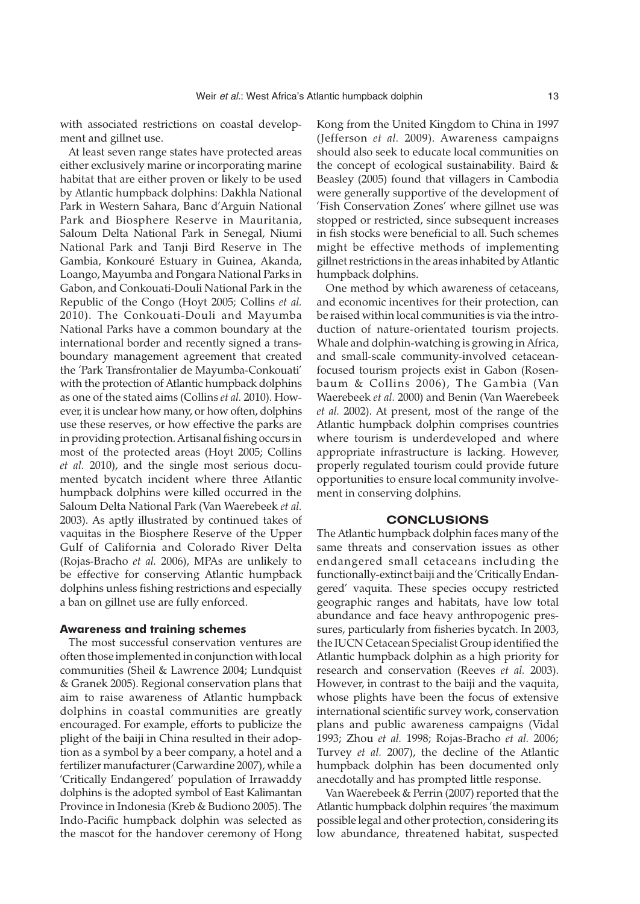with associated restrictions on coastal development and gillnet use.

At least seven range states have protected areas either exclusively marine or incorporating marine habitat that are either proven or likely to be used by Atlantic humpback dolphins: Dakhla National Park in Western Sahara, Banc d'Arguin National Park and Biosphere Reserve in Mauritania, Saloum Delta National Park in Senegal, Niumi National Park and Tanji Bird Reserve in The Gambia, Konkouré Estuary in Guinea, Akanda, Loango, Mayumba and Pongara National Parks in Gabon, and Conkouati-Douli National Park in the Republic of the Congo (Hoyt 2005; Collins *et al.* 2010). The Conkouati-Douli and Mayumba National Parks have a common boundary at the international border and recently signed a transboundary management agreement that created the 'Park Transfrontalier de Mayumba-Conkouati' with the protection of Atlantic humpback dolphins as one of the stated aims (Collins *et al.* 2010). However, it is unclear how many, or how often, dolphins use these reserves, or how effective the parks are in providing protection. Artisanal fishing occurs in most of the protected areas (Hoyt 2005; Collins *et al.* 2010), and the single most serious documented bycatch incident where three Atlantic humpback dolphins were killed occurred in the Saloum Delta National Park (Van Waerebeek *et al.* 2003). As aptly illustrated by continued takes of vaquitas in the Biosphere Reserve of the Upper Gulf of California and Colorado River Delta (Rojas-Bracho *et al.* 2006), MPAs are unlikely to be effective for conserving Atlantic humpback dolphins unless fishing restrictions and especially a ban on gillnet use are fully enforced.

#### **Awareness and training schemes**

The most successful conservation ventures are often those implemented in conjunction with local communities (Sheil & Lawrence 2004; Lundquist & Granek 2005). Regional conservation plans that aim to raise awareness of Atlantic humpback dolphins in coastal communities are greatly encouraged. For example, efforts to publicize the plight of the baiji in China resulted in their adoption as a symbol by a beer company, a hotel and a fertilizer manufacturer (Carwardine 2007), while a 'Critically Endangered' population of Irrawaddy dolphins is the adopted symbol of East Kalimantan Province in Indonesia (Kreb & Budiono 2005). The Indo-Pacific humpback dolphin was selected as the mascot for the handover ceremony of Hong

Kong from the United Kingdom to China in 1997 (Jefferson *et al.* 2009). Awareness campaigns should also seek to educate local communities on the concept of ecological sustainability. Baird & Beasley (2005) found that villagers in Cambodia were generally supportive of the development of 'Fish Conservation Zones' where gillnet use was stopped or restricted, since subsequent increases in fish stocks were beneficial to all. Such schemes might be effective methods of implementing gillnet restrictions in the areas inhabited by Atlantic humpback dolphins.

One method by which awareness of cetaceans, and economic incentives for their protection, can be raised within local communities is via the introduction of nature-orientated tourism projects. Whale and dolphin-watching is growing in Africa, and small-scale community-involved cetaceanfocused tourism projects exist in Gabon (Rosenbaum & Collins 2006), The Gambia (Van Waerebeek *et al.* 2000) and Benin (Van Waerebeek *et al.* 2002). At present, most of the range of the Atlantic humpback dolphin comprises countries where tourism is underdeveloped and where appropriate infrastructure is lacking. However, properly regulated tourism could provide future opportunities to ensure local community involvement in conserving dolphins.

#### **CONCLUSIONS**

The Atlantic humpback dolphin faces many of the same threats and conservation issues as other endangered small cetaceans including the functionally-extinct baiji and the 'Critically Endangered' vaquita. These species occupy restricted geographic ranges and habitats, have low total abundance and face heavy anthropogenic pressures, particularly from fisheries bycatch. In 2003, the IUCN Cetacean Specialist Group identified the Atlantic humpback dolphin as a high priority for research and conservation (Reeves *et al.* 2003). However, in contrast to the baiji and the vaquita, whose plights have been the focus of extensive international scientific survey work, conservation plans and public awareness campaigns (Vidal 1993; Zhou *et al.* 1998; Rojas-Bracho *et al.* 2006; Turvey *et al.* 2007), the decline of the Atlantic humpback dolphin has been documented only anecdotally and has prompted little response.

Van Waerebeek & Perrin (2007) reported that the Atlantic humpback dolphin requires 'the maximum possible legal and other protection, considering its low abundance, threatened habitat, suspected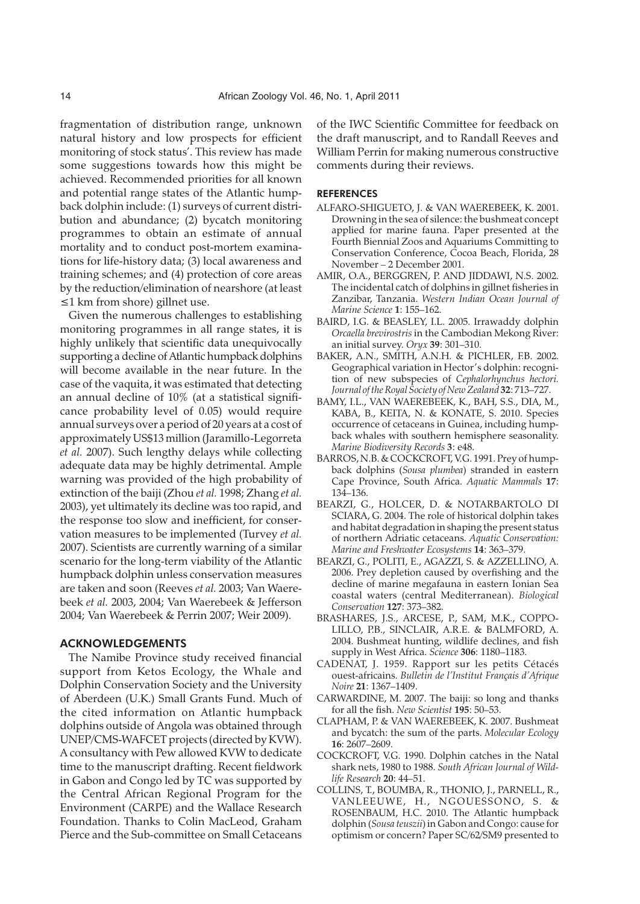fragmentation of distribution range, unknown natural history and low prospects for efficient monitoring of stock status'. This review has made some suggestions towards how this might be achieved. Recommended priorities for all known and potential range states of the Atlantic humpback dolphin include: (1) surveys of current distribution and abundance; (2) bycatch monitoring programmes to obtain an estimate of annual mortality and to conduct post-mortem examinations for life-history data; (3) local awareness and training schemes; and (4) protection of core areas by the reduction/elimination of nearshore (at least ≤1 km from shore) gillnet use.

Given the numerous challenges to establishing monitoring programmes in all range states, it is highly unlikely that scientific data unequivocally supporting a decline of Atlantic humpback dolphins will become available in the near future. In the case of the vaquita, it was estimated that detecting an annual decline of 10% (at a statistical significance probability level of 0.05) would require annual surveys over a period of 20 years at a cost of approximately US\$13 million (Jaramillo-Legorreta *et al.* 2007). Such lengthy delays while collecting adequate data may be highly detrimental. Ample warning was provided of the high probability of extinction of the baiji (Zhou *et al.* 1998; Zhang *et al.* 2003), yet ultimately its decline was too rapid, and the response too slow and inefficient, for conservation measures to be implemented (Turvey *et al.* 2007). Scientists are currently warning of a similar scenario for the long-term viability of the Atlantic humpback dolphin unless conservation measures are taken and soon (Reeves *et al.* 2003; Van Waerebeek *et al.* 2003, 2004; Van Waerebeek & Jefferson 2004; Van Waerebeek & Perrin 2007; Weir 2009).

#### ACKNOWLEDGEMENTS

The Namibe Province study received financial support from Ketos Ecology, the Whale and Dolphin Conservation Society and the University of Aberdeen (U.K.) Small Grants Fund. Much of the cited information on Atlantic humpback dolphins outside of Angola was obtained through UNEP/CMS-WAFCET projects (directed by KVW). A consultancy with Pew allowed KVW to dedicate time to the manuscript drafting. Recent fieldwork in Gabon and Congo led by TC was supported by the Central African Regional Program for the Environment (CARPE) and the Wallace Research Foundation. Thanks to Colin MacLeod, Graham Pierce and the Sub-committee on Small Cetaceans

of the IWC Scientific Committee for feedback on the draft manuscript, and to Randall Reeves and William Perrin for making numerous constructive comments during their reviews.

#### REFERENCES

- ALFARO-SHIGUETO, J. & VAN WAEREBEEK, K. 2001. Drowning in the sea of silence: the bushmeat concept applied for marine fauna. Paper presented at the Fourth Biennial Zoos and Aquariums Committing to Conservation Conference, Cocoa Beach, Florida, 28 November – 2 December 2001.
- AMIR, O.A., BERGGREN, P. AND JIDDAWI, N.S. 2002. The incidental catch of dolphins in gillnet fisheries in Zanzibar, Tanzania. *Western Indian Ocean Journal of Marine Science* **1**: 155–162.
- BAIRD, I.G. & BEASLEY, I.L. 2005. Irrawaddy dolphin *Orcaella brevirostris* in the Cambodian Mekong River: an initial survey. *Oryx* **39**: 301–310.
- BAKER, A.N., SMITH, A.N.H. & PICHLER, F.B. 2002. Geographical variation in Hector's dolphin: recognition of new subspecies of *Cephalorhynchus hectori. Journal of the Royal Society of New Zealand* **32**: 713–727.
- BAMY, I.L., VAN WAEREBEEK, K., BAH, S.S., DIA, M., KABA, B., KEITA, N. & KONATE, S. 2010. Species occurrence of cetaceans in Guinea, including humpback whales with southern hemisphere seasonality. *Marine Biodiversity Records* **3**: e48.
- BARROS, N.B. & COCKCROFT, V.G. 1991. Prey of humpback dolphins (*Sousa plumbea*) stranded in eastern Cape Province, South Africa. *Aquatic Mammals* **17**: 134–136.
- BEARZI, G., HOLCER, D. & NOTARBARTOLO DI SCIARA, G. 2004. The role of historical dolphin takes and habitat degradation in shaping the present status of northern Adriatic cetaceans. *Aquatic Conservation: Marine and Freshwater Ecosystems* **14**: 363–379.
- BEARZI, G., POLITI, E., AGAZZI, S. & AZZELLINO, A. 2006. Prey depletion caused by overfishing and the decline of marine megafauna in eastern Ionian Sea coastal waters (central Mediterranean). *Biological Conservation* **127**: 373–382.
- BRASHARES, J.S., ARCESE, P., SAM, M.K., COPPO-LILLO, P.B., SINCLAIR, A.R.E. & BALMFORD, A. 2004. Bushmeat hunting, wildlife declines, and fish supply in West Africa. *Science* **306**: 1180–1183.
- CADENAT, J. 1959. Rapport sur les petits Cétacés ouest-africains. *Bulletin de l'Institut Français d'Afrique Noire* **21**: 1367–1409.
- CARWARDINE, M. 2007. The baiji: so long and thanks for all the fish. *New Scientist* **195**: 50–53.
- CLAPHAM, P. & VAN WAEREBEEK, K. 2007. Bushmeat and bycatch: the sum of the parts. *Molecular Ecology* **16**: 2607–2609.
- COCKCROFT, V.G. 1990. Dolphin catches in the Natal shark nets, 1980 to 1988. *South African Journal of Wildlife Research* **20**: 44–51.
- COLLINS, T., BOUMBA, R., THONIO, J., PARNELL, R., VANLEEUWE, H., NGOUESSONO, S. & ROSENBAUM, H.C. 2010. The Atlantic humpback dolphin (*Sousa teuszii*) in Gabon and Congo: cause for optimism or concern? Paper SC/62/SM9 presented to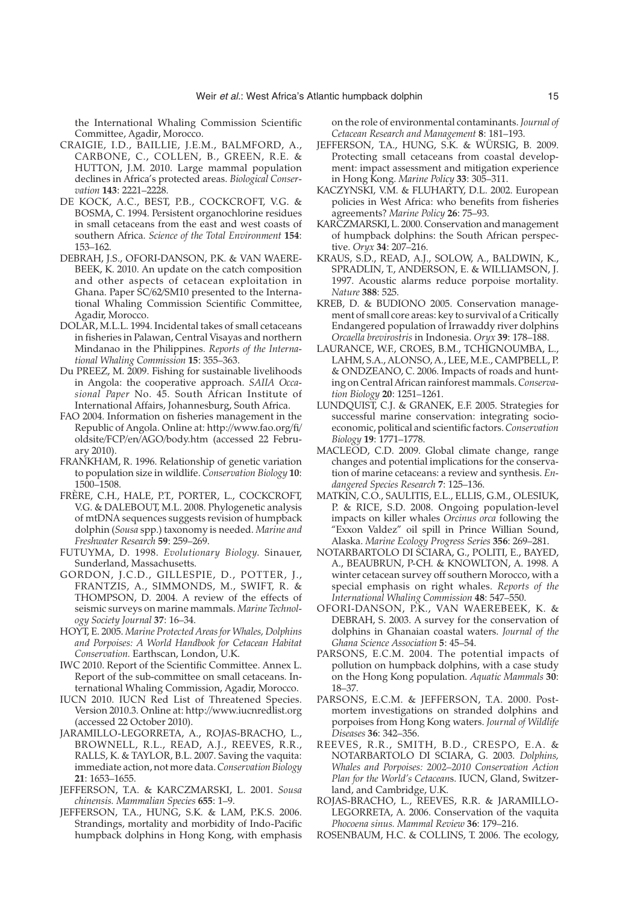the International Whaling Commission Scientific Committee, Agadir, Morocco.

- CRAIGIE, I.D., BAILLIE, J.E.M., BALMFORD, A., CARBONE, C., COLLEN, B., GREEN, R.E. & HUTTON, J.M. 2010. Large mammal population declines in Africa's protected areas. *Biological Conservation* **143**: 2221–2228.
- DE KOCK, A.C., BEST, P.B., COCKCROFT, V.G. & BOSMA, C. 1994. Persistent organochlorine residues in small cetaceans from the east and west coasts of southern Africa. *Science of the Total Environment* **154**: 153–162.
- DEBRAH, J.S., OFORI-DANSON, P.K. & VAN WAERE-BEEK, K. 2010. An update on the catch composition and other aspects of cetacean exploitation in Ghana. Paper SC/62/SM10 presented to the International Whaling Commission Scientific Committee, Agadir, Morocco.
- DOLAR, M.L.L. 1994. Incidental takes of small cetaceans in fisheries in Palawan, Central Visayas and northern Mindanao in the Philippines. *Reports of the International Whaling Commission* **15**: 355–363.
- Du PREEZ, M. 2009. Fishing for sustainable livelihoods in Angola: the cooperative approach. *SAIIA Occasional Paper* No. 45. South African Institute of International Affairs, Johannesburg, South Africa.
- FAO 2004. Information on fisheries management in the Republic of Angola. Online at: http://www.fao.org/fi/ oldsite/FCP/en/AGO/body.htm (accessed 22 February 2010).
- FRANKHAM, R. 1996. Relationship of genetic variation to population size in wildlife. *Conservation Biology* **10**: 1500–1508.
- FRÈRE, C.H., HALE, P.T., PORTER, L., COCKCROFT, V.G. & DALEBOUT, M.L. 2008. Phylogenetic analysis of mtDNA sequences suggests revision of humpback dolphin (*Sousa* spp.) taxonomy is needed. *Marine and Freshwater Research* **59**: 259–269.
- FUTUYMA, D. 1998. *Evolutionary Biology*. Sinauer, Sunderland, Massachusetts.
- GORDON, J.C.D., GILLESPIE, D., POTTER, J., FRANTZIS, A., SIMMONDS, M., SWIFT, R. & THOMPSON, D. 2004. A review of the effects of seismic surveys on marine mammals. *Marine Technology Society Journal* **37**: 16–34.
- HOYT, E. 2005. *Marine Protected Areas for Whales, Dolphins and Porpoises: A World Handbook for Cetacean Habitat Conservation.* Earthscan, London, U.K.
- IWC 2010. Report of the Scientific Committee. Annex L. Report of the sub-committee on small cetaceans. International Whaling Commission, Agadir, Morocco.
- IUCN 2010. IUCN Red List of Threatened Species. Version 2010.3. Online at: http://www.iucnredlist.org (accessed 22 October 2010).
- JARAMILLO-LEGORRETA, A., ROJAS-BRACHO, L., BROWNELL, R.L., READ, A.J., REEVES, R.R., RALLS, K. & TAYLOR, B.L. 2007. Saving the vaquita: immediate action, not more data.*Conservation Biology* **21**: 1653–1655.
- JEFFERSON, T.A. & KARCZMARSKI, L. 2001. *Sousa chinensis. Mammalian Species* **655**: 1–9.
- JEFFERSON, T.A., HUNG, S.K. & LAM, P.K.S. 2006. Strandings, mortality and morbidity of Indo-Pacific humpback dolphins in Hong Kong, with emphasis

on the role of environmental contaminants. *Journal of Cetacean Research and Management* **8**: 181–193.

- JEFFERSON, T.A., HUNG, S.K. & WÜRSIG, B. 2009. Protecting small cetaceans from coastal development: impact assessment and mitigation experience in Hong Kong. *Marine Policy* **33**: 305–311.
- KACZYNSKI, V.M. & FLUHARTY, D.L. 2002. European policies in West Africa: who benefits from fisheries agreements? *Marine Policy* **26**: 75–93.
- KARCZMARSKI, L. 2000. Conservation and management of humpback dolphins: the South African perspective. *Oryx* **34**: 207–216.
- KRAUS, S.D., READ, A.J., SOLOW, A., BALDWIN, K., SPRADLIN, T., ANDERSON, E. & WILLIAMSON, J. 1997. Acoustic alarms reduce porpoise mortality*. Nature* **388**: 525.
- KREB, D. & BUDIONO 2005. Conservation management of small core areas: key to survival of a Critically Endangered population of Irrawaddy river dolphins *Orcaella brevirostris* in Indonesia. *Oryx* **39**: 178–188.
- LAURANCE, W.F., CROES, B.M., TCHIGNOUMBA, L., LAHM, S.A., ALONSO, A., LEE, M.E., CAMPBELL, P. & ONDZEANO, C. 2006. Impacts of roads and hunting on Central African rainforest mammals. *Conservation Biology* **20**: 1251–1261.
- LUNDQUIST, C.J. & GRANEK, E.F. 2005. Strategies for successful marine conservation: integrating socioeconomic, political and scientific factors. *Conservation Biology* **19**: 1771–1778.
- MACLEOD, C.D. 2009. Global climate change, range changes and potential implications for the conservation of marine cetaceans: a review and synthesis. *Endangered Species Research* **7**: 125–136.
- MATKIN, C.O., SAULITIS, E.L., ELLIS, G.M., OLESIUK, P. & RICE, S.D. 2008. Ongoing population-level impacts on killer whales *Orcinus orca* following the "Exxon Valdez" oil spill in Prince Willian Sound, Alaska. *Marine Ecology Progress Series* **356**: 269–281.
- NOTARBARTOLO DI SCIARA, G., POLITI, E., BAYED, A., BEAUBRUN, P-CH. & KNOWLTON, A. 1998. A winter cetacean survey off southern Morocco, with a special emphasis on right whales. *Reports of the International Whaling Commission* **48**: 547–550.
- OFORI-DANSON, P.K., VAN WAEREBEEK, K. & DEBRAH, S. 2003. A survey for the conservation of dolphins in Ghanaian coastal waters. *Journal of the Ghana Science Association* **5**: 45–54.
- PARSONS, E.C.M. 2004. The potential impacts of pollution on humpback dolphins, with a case study on the Hong Kong population. *Aquatic Mammals* **30**: 18–37.
- PARSONS, E.C.M. & JEFFERSON, T.A. 2000. Postmortem investigations on stranded dolphins and porpoises from Hong Kong waters. *Journal of Wildlife Diseases* **36**: 342–356.
- REEVES, R.R., SMITH, B.D., CRESPO, E.A. & NOTARBARTOLO DI SCIARA, G. 2003. *Dolphins, Whales and Porpoises: 2002–2010 Conservation Action Plan for the World's Cetacean*s. IUCN, Gland, Switzerland, and Cambridge, U.K.
- ROJAS-BRACHO, L., REEVES, R.R. & JARAMILLO-LEGORRETA, A. 2006. Conservation of the vaquita *Phocoena sinus. Mammal Review* **36**: 179–216.
- ROSENBAUM, H.C. & COLLINS, T. 2006. The ecology,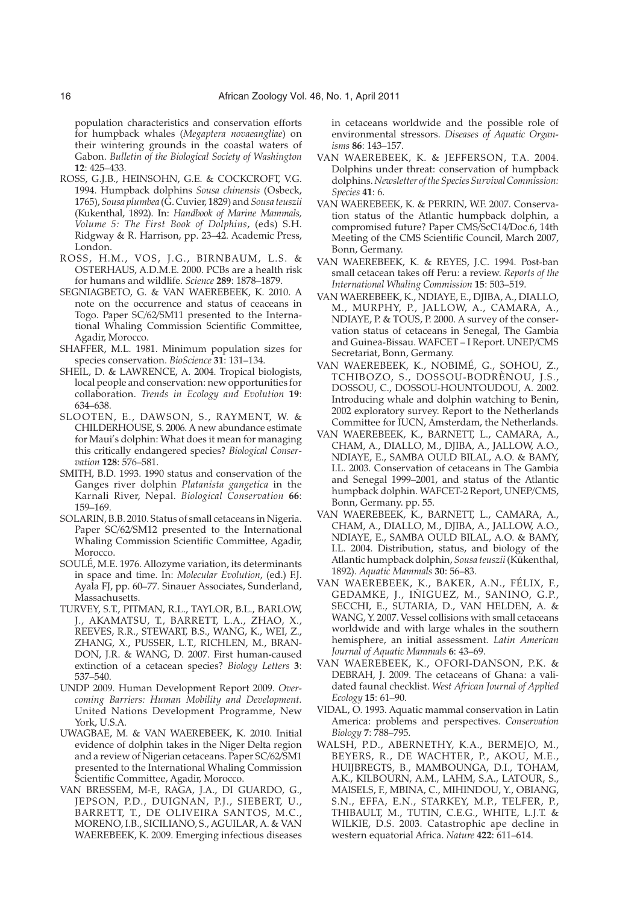population characteristics and conservation efforts for humpback whales (*Megaptera novaeangliae*) on their wintering grounds in the coastal waters of Gabon. *Bulletin of the Biological Society of Washington* **12**: 425–433.

- ROSS, G.J.B., HEINSOHN, G.E. & COCKCROFT, V.G. 1994. Humpback dolphins *Sousa chinensis* (Osbeck, 1765), *Sousa plumbea* (G. Cuvier, 1829) and*Sousa teuszii* (Kukenthal, 1892). In: *Handbook of Marine Mammals, Volume 5: The First Book of Dolphins*, (eds) S.H. Ridgway & R. Harrison, pp. 23–42. Academic Press, London.
- ROSS, H.M., VOS, J.G., BIRNBAUM, L.S. & OSTERHAUS, A.D.M.E. 2000. PCBs are a health risk for humans and wildlife. *Science* **289**: 1878–1879.
- SEGNIAGBETO, G. & VAN WAEREBEEK, K. 2010. A note on the occurrence and status of ceaceans in Togo. Paper SC/62/SM11 presented to the International Whaling Commission Scientific Committee, Agadir, Morocco.
- SHAFFER, M.L. 1981. Minimum population sizes for species conservation. *BioScience* **31**: 131–134.
- SHEIL, D. & LAWRENCE, A. 2004. Tropical biologists, local people and conservation: new opportunities for collaboration. *Trends in Ecology and Evolution* **19**: 634–638.
- SLOOTEN, E., DAWSON, S., RAYMENT, W. & CHILDERHOUSE, S. 2006. A new abundance estimate for Maui's dolphin: What does it mean for managing this critically endangered species? *Biological Conservation* **128**: 576–581.
- SMITH, B.D. 1993. 1990 status and conservation of the Ganges river dolphin *Platanista gangetica* in the Karnali River, Nepal. *Biological Conservation* **66**: 159–169.
- SOLARIN, B.B. 2010. Status of small cetaceans in Nigeria. Paper SC/62/SM12 presented to the International Whaling Commission Scientific Committee, Agadir, Morocco.
- SOULÉ, M.E. 1976. Allozyme variation, its determinants in space and time. In: *Molecular Evolution*, (ed.) F.J. Ayala FJ, pp. 60–77. Sinauer Associates, Sunderland, Massachusetts.
- TURVEY, S.T., PITMAN, R.L., TAYLOR, B.L., BARLOW, J., AKAMATSU, T., BARRETT, L.A., ZHAO, X., REEVES, R.R., STEWART, B.S., WANG, K., WEI, Z., ZHANG, X., PUSSER, L.T., RICHLEN, M., BRAN-DON, J.R. & WANG, D. 2007. First human-caused extinction of a cetacean species? *Biology Letters* **3**: 537–540.
- UNDP 2009. Human Development Report 2009. *Overcoming Barriers: Human Mobility and Development.* United Nations Development Programme, New York, U.S.A.
- UWAGBAE, M. & VAN WAEREBEEK, K. 2010. Initial evidence of dolphin takes in the Niger Delta region and a review of Nigerian cetaceans. Paper SC/62/SM1 presented to the International Whaling Commission Scientific Committee, Agadir, Morocco.
- VAN BRESSEM, M-F., RAGA, J.A., DI GUARDO, G., JEPSON, P.D., DUIGNAN, P.J., SIEBERT, U., BARRETT, T., DE OLIVEIRA SANTOS, M.C., MORENO, I.B., SICILIANO, S., AGUILAR, A. & VAN WAEREBEEK, K. 2009. Emerging infectious diseases

in cetaceans worldwide and the possible role of environmental stressors. *Diseases of Aquatic Organisms* **86**: 143–157.

- VAN WAEREBEEK, K. & JEFFERSON, T.A. 2004. Dolphins under threat: conservation of humpback dolphins.*Newsletter of the Species Survival Commission: Species* **41**: 6.
- VAN WAEREBEEK, K. & PERRIN, W.F. 2007. Conservation status of the Atlantic humpback dolphin, a compromised future? Paper CMS/ScC14/Doc.6, 14th Meeting of the CMS Scientific Council, March 2007, Bonn, Germany.
- VAN WAEREBEEK, K. & REYES, J.C. 1994. Post-ban small cetacean takes off Peru: a review. *Reports of the International Whaling Commission* **15**: 503–519.
- VAN WAEREBEEK, K., NDIAYE, E., DJIBA, A., DIALLO, M., MURPHY, P., JALLOW, A., CAMARA, A., NDIAYE, P. & TOUS, P. 2000. A survey of the conservation status of cetaceans in Senegal, The Gambia and Guinea-Bissau. WAFCET – I Report. UNEP/CMS Secretariat, Bonn, Germany.
- VAN WAEREBEEK, K., NOBIMÉ, G., SOHOU, Z., TCHIBOZO, S., DOSSOU-BODRÈNOU, J.S., DOSSOU, C., DOSSOU-HOUNTOUDOU, A. 2002. Introducing whale and dolphin watching to Benin, 2002 exploratory survey. Report to the Netherlands Committee for IUCN, Amsterdam, the Netherlands.
- VAN WAEREBEEK, K., BARNETT, L., CAMARA, A., CHAM, A., DIALLO, M., DJIBA, A., JALLOW, A.O., NDIAYE, E., SAMBA OULD BILAL, A.O. & BAMY, I.L. 2003. Conservation of cetaceans in The Gambia and Senegal 1999–2001, and status of the Atlantic humpback dolphin. WAFCET-2 Report, UNEP/CMS, Bonn, Germany. pp. 55.
- VAN WAEREBEEK, K., BARNETT, L., CAMARA, A., CHAM, A., DIALLO, M., DJIBA, A., JALLOW, A.O., NDIAYE, E., SAMBA OULD BILAL, A.O. & BAMY, I.L. 2004. Distribution, status, and biology of the Atlantic humpback dolphin, *Sousa teuszii* (Kükenthal, 1892). *Aquatic Mammals* **30**: 56–83.
- VAN WAEREBEEK, K., BAKER, A.N., FÉLIX, F., GEDAMKE, J., IÑIGUEZ, M., SANINO, G.P., SECCHI, E., SUTARIA, D., VAN HELDEN, A. & WANG, Y. 2007. Vessel collisions with small cetaceans worldwide and with large whales in the southern hemisphere, an initial assessment. *Latin American Journal of Aquatic Mammals* **6**: 43–69.
- VAN WAEREBEEK, K., OFORI-DANSON, P.K. & DEBRAH, J. 2009. The cetaceans of Ghana: a validated faunal checklist. *West African Journal of Applied Ecology* **15**: 61–90.
- VIDAL, O. 1993. Aquatic mammal conservation in Latin America: problems and perspectives. *Conservation Biology* **7**: 788–795.
- WALSH, P.D., ABERNETHY, K.A., BERMEJO, M., BEYERS, R., DE WACHTER, P., AKOU, M.E., HUIJBREGTS, B., MAMBOUNGA, D.I., TOHAM, A.K., KILBOURN, A.M., LAHM, S.A., LATOUR, S., MAISELS, F., MBINA, C., MIHINDOU, Y., OBIANG, S.N., EFFA, E.N., STARKEY, M.P., TELFER, P., THIBAULT, M., TUTIN, C.E.G., WHITE, L.J.T. & WILKIE, D.S. 2003. Catastrophic ape decline in western equatorial Africa. *Nature* **422**: 611–614.